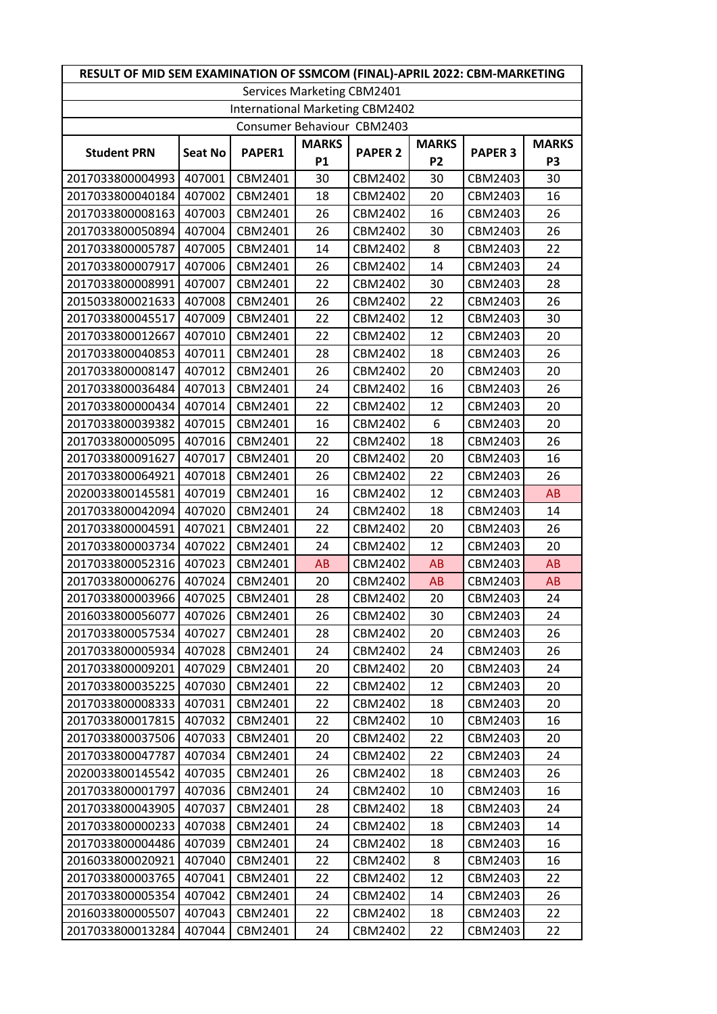| RESULT OF MID SEM EXAMINATION OF SSMCOM (FINAL)-APRIL 2022: CBM-MARKETING |                |         |              |                |                |                |              |  |
|---------------------------------------------------------------------------|----------------|---------|--------------|----------------|----------------|----------------|--------------|--|
| Services Marketing CBM2401                                                |                |         |              |                |                |                |              |  |
| International Marketing CBM2402                                           |                |         |              |                |                |                |              |  |
| Consumer Behaviour CBM2403                                                |                |         |              |                |                |                |              |  |
| <b>Student PRN</b>                                                        | <b>Seat No</b> | PAPER1  | <b>MARKS</b> | <b>PAPER 2</b> | <b>MARKS</b>   | <b>PAPER 3</b> | <b>MARKS</b> |  |
|                                                                           |                |         | <b>P1</b>    |                | P <sub>2</sub> |                | P3           |  |
| 2017033800004993                                                          | 407001         | CBM2401 | 30           | CBM2402        | 30             | CBM2403        | 30           |  |
| 2017033800040184                                                          | 407002         | CBM2401 | 18           | CBM2402        | 20             | CBM2403        | 16           |  |
| 2017033800008163                                                          | 407003         | CBM2401 | 26           | CBM2402        | 16             | CBM2403        | 26           |  |
| 2017033800050894                                                          | 407004         | CBM2401 | 26           | CBM2402        | 30             | CBM2403        | 26           |  |
| 2017033800005787                                                          | 407005         | CBM2401 | 14           | CBM2402        | 8              | CBM2403        | 22           |  |
| 2017033800007917                                                          | 407006         | CBM2401 | 26           | CBM2402        | 14             | CBM2403        | 24           |  |
| 2017033800008991                                                          | 407007         | CBM2401 | 22           | CBM2402        | 30             | CBM2403        | 28           |  |
| 2015033800021633                                                          | 407008         | CBM2401 | 26           | CBM2402        | 22             | CBM2403        | 26           |  |
| 2017033800045517                                                          | 407009         | CBM2401 | 22           | CBM2402        | 12             | CBM2403        | 30           |  |
| 2017033800012667                                                          | 407010         | CBM2401 | 22           | CBM2402        | 12             | CBM2403        | 20           |  |
| 2017033800040853                                                          | 407011         | CBM2401 | 28           | CBM2402        | 18             | CBM2403        | 26           |  |
| 2017033800008147                                                          | 407012         | CBM2401 | 26           | CBM2402        | 20             | CBM2403        | 20           |  |
| 2017033800036484                                                          | 407013         | CBM2401 | 24           | CBM2402        | 16             | CBM2403        | 26           |  |
| 2017033800000434                                                          | 407014         | CBM2401 | 22           | CBM2402        | 12             | CBM2403        | 20           |  |
| 2017033800039382                                                          | 407015         | CBM2401 | 16           | CBM2402        | 6              | CBM2403        | 20           |  |
| 2017033800005095                                                          | 407016         | CBM2401 | 22           | CBM2402        | 18             | CBM2403        | 26           |  |
| 2017033800091627                                                          | 407017         | CBM2401 | 20           | CBM2402        | 20             | CBM2403        | 16           |  |
| 2017033800064921                                                          | 407018         | CBM2401 | 26           | CBM2402        | 22             | CBM2403        | 26           |  |
| 2020033800145581                                                          | 407019         | CBM2401 | 16           | CBM2402        | 12             | CBM2403        | AB           |  |
| 2017033800042094                                                          | 407020         | CBM2401 | 24           | CBM2402        | 18             | CBM2403        | 14           |  |
| 2017033800004591                                                          | 407021         | CBM2401 | 22           | CBM2402        | 20             | CBM2403        | 26           |  |
| 2017033800003734                                                          | 407022         | CBM2401 | 24           | CBM2402        | 12             | CBM2403        | 20           |  |
| 2017033800052316                                                          | 407023         | CBM2401 | AB           | CBM2402        | <b>AB</b>      | CBM2403        | AB           |  |
| 2017033800006276                                                          | 407024         | CBM2401 | 20           | CBM2402        | AB             | CBM2403        | AB           |  |
| 2017033800003966                                                          | 407025         | CBM2401 | 28           | CBM2402        | 20             | CBM2403        | 24           |  |
| 2016033800056077                                                          | 407026         | CBM2401 | 26           | CBM2402        | 30             | CBM2403        | 24           |  |
| 2017033800057534                                                          | 407027         | CBM2401 | 28           | CBM2402        | 20             | CBM2403        | 26           |  |
| 2017033800005934                                                          | 407028         | CBM2401 | 24           | CBM2402        | 24             | CBM2403        | 26           |  |
| 2017033800009201                                                          | 407029         | CBM2401 | 20           | CBM2402        | 20             | CBM2403        | 24           |  |
| 2017033800035225                                                          | 407030         | CBM2401 | 22           | CBM2402        | 12             | CBM2403        | 20           |  |
| 2017033800008333                                                          | 407031         | CBM2401 | 22           | CBM2402        | 18             | CBM2403        | 20           |  |
| 2017033800017815                                                          | 407032         | CBM2401 | 22           | CBM2402        | 10             | CBM2403        | 16           |  |
| 2017033800037506                                                          | 407033         | CBM2401 | 20           | CBM2402        | 22             | CBM2403        | 20           |  |
| 2017033800047787                                                          | 407034         | CBM2401 | 24           | CBM2402        | 22             | CBM2403        | 24           |  |
| 2020033800145542                                                          | 407035         | CBM2401 | 26           | CBM2402        | 18             | CBM2403        | 26           |  |
| 2017033800001797                                                          | 407036         | CBM2401 | 24           | CBM2402        | 10             | CBM2403        | 16           |  |
| 2017033800043905                                                          | 407037         | CBM2401 | 28           | CBM2402        | 18             | CBM2403        | 24           |  |
| 2017033800000233                                                          | 407038         | CBM2401 | 24           | CBM2402        | 18             | CBM2403        | 14           |  |
| 2017033800004486                                                          | 407039         | CBM2401 | 24           | CBM2402        | 18             | CBM2403        | 16           |  |
| 2016033800020921                                                          | 407040         | CBM2401 | 22           | CBM2402        | 8              | CBM2403        | 16           |  |
| 2017033800003765                                                          | 407041         | CBM2401 | 22           | CBM2402        | 12             | CBM2403        | 22           |  |
| 2017033800005354                                                          | 407042         | CBM2401 | 24           | CBM2402        | 14             | CBM2403        | 26           |  |
| 2016033800005507                                                          | 407043         | CBM2401 | 22           | CBM2402        | 18             | CBM2403        | 22           |  |
| 2017033800013284                                                          | 407044         | CBM2401 | 24           | CBM2402        | 22             | CBM2403        | 22           |  |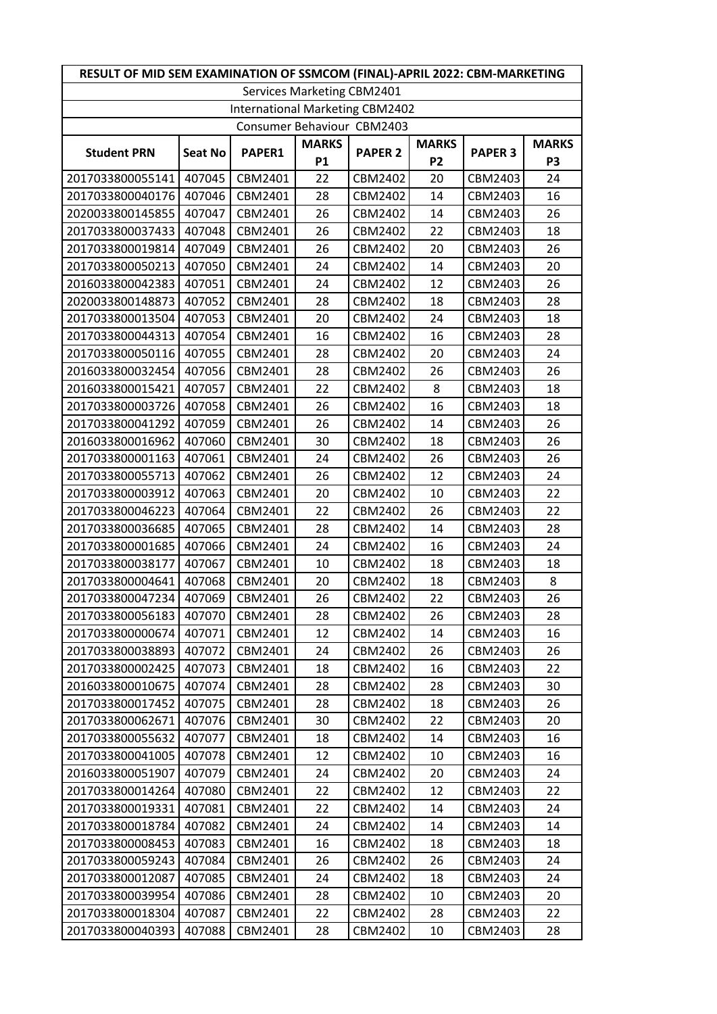| RESULT OF MID SEM EXAMINATION OF SSMCOM (FINAL)-APRIL 2022: CBM-MARKETING |                |         |              |                |                |                |              |  |
|---------------------------------------------------------------------------|----------------|---------|--------------|----------------|----------------|----------------|--------------|--|
| Services Marketing CBM2401                                                |                |         |              |                |                |                |              |  |
| International Marketing CBM2402                                           |                |         |              |                |                |                |              |  |
| Consumer Behaviour CBM2403                                                |                |         |              |                |                |                |              |  |
| <b>Student PRN</b>                                                        | <b>Seat No</b> | PAPER1  | <b>MARKS</b> | <b>PAPER 2</b> | <b>MARKS</b>   | <b>PAPER 3</b> | <b>MARKS</b> |  |
|                                                                           |                |         | <b>P1</b>    |                | P <sub>2</sub> |                | P3           |  |
| 2017033800055141                                                          | 407045         | CBM2401 | 22           | CBM2402        | 20             | CBM2403        | 24           |  |
| 2017033800040176                                                          | 407046         | CBM2401 | 28           | CBM2402        | 14             | CBM2403        | 16           |  |
| 2020033800145855                                                          | 407047         | CBM2401 | 26           | CBM2402        | 14             | CBM2403        | 26           |  |
| 2017033800037433                                                          | 407048         | CBM2401 | 26           | CBM2402        | 22             | CBM2403        | 18           |  |
| 2017033800019814                                                          | 407049         | CBM2401 | 26           | CBM2402        | 20             | CBM2403        | 26           |  |
| 2017033800050213                                                          | 407050         | CBM2401 | 24           | CBM2402        | 14             | CBM2403        | 20           |  |
| 2016033800042383                                                          | 407051         | CBM2401 | 24           | CBM2402        | 12             | CBM2403        | 26           |  |
| 2020033800148873                                                          | 407052         | CBM2401 | 28           | CBM2402        | 18             | CBM2403        | 28           |  |
| 2017033800013504                                                          | 407053         | CBM2401 | 20           | CBM2402        | 24             | CBM2403        | 18           |  |
| 2017033800044313                                                          | 407054         | CBM2401 | 16           | CBM2402        | 16             | CBM2403        | 28           |  |
| 2017033800050116                                                          | 407055         | CBM2401 | 28           | CBM2402        | 20             | CBM2403        | 24           |  |
| 2016033800032454                                                          | 407056         | CBM2401 | 28           | CBM2402        | 26             | CBM2403        | 26           |  |
| 2016033800015421                                                          | 407057         | CBM2401 | 22           | CBM2402        | 8              | CBM2403        | 18           |  |
| 2017033800003726                                                          | 407058         | CBM2401 | 26           | CBM2402        | 16             | CBM2403        | 18           |  |
| 2017033800041292                                                          | 407059         | CBM2401 | 26           | CBM2402        | 14             | CBM2403        | 26           |  |
| 2016033800016962                                                          | 407060         | CBM2401 | 30           | CBM2402        | 18             | CBM2403        | 26           |  |
| 2017033800001163                                                          | 407061         | CBM2401 | 24           | CBM2402        | 26             | CBM2403        | 26           |  |
| 2017033800055713                                                          | 407062         | CBM2401 | 26           | CBM2402        | 12             | CBM2403        | 24           |  |
| 2017033800003912                                                          | 407063         | CBM2401 | 20           | CBM2402        | 10             | CBM2403        | 22           |  |
| 2017033800046223                                                          | 407064         | CBM2401 | 22           | CBM2402        | 26             | CBM2403        | 22           |  |
| 2017033800036685                                                          | 407065         | CBM2401 | 28           | CBM2402        | 14             | CBM2403        | 28           |  |
| 2017033800001685                                                          | 407066         | CBM2401 | 24           | CBM2402        | 16             | CBM2403        | 24           |  |
| 2017033800038177                                                          | 407067         | CBM2401 | 10           | CBM2402        | 18             | CBM2403        | 18           |  |
| 2017033800004641                                                          | 407068         | CBM2401 | 20           | CBM2402        | 18             | CBM2403        | 8            |  |
| 2017033800047234                                                          | 407069         | CBM2401 | 26           | CBM2402        | 22             | CBM2403        | 26           |  |
| 2017033800056183                                                          | 407070         | CBM2401 | 28           | CBM2402        | 26             | CBM2403        | 28           |  |
| 2017033800000674                                                          | 407071         | CBM2401 | 12           | CBM2402        | 14             | CBM2403        | 16           |  |
| 2017033800038893                                                          | 407072         | CBM2401 | 24           | CBM2402        | 26             | CBM2403        | 26           |  |
| 2017033800002425                                                          | 407073         | CBM2401 | 18           | CBM2402        | 16             | CBM2403        | 22           |  |
| 2016033800010675                                                          | 407074         | CBM2401 | 28           | CBM2402        | 28             | CBM2403        | 30           |  |
| 2017033800017452                                                          | 407075         | CBM2401 | 28           | CBM2402        | 18             | CBM2403        | 26           |  |
| 2017033800062671                                                          | 407076         | CBM2401 | 30           | CBM2402        | 22             | CBM2403        | 20           |  |
| 2017033800055632                                                          | 407077         | CBM2401 | 18           | CBM2402        | 14             | CBM2403        | 16           |  |
| 2017033800041005                                                          | 407078         | CBM2401 | 12           | CBM2402        | 10             | CBM2403        | 16           |  |
| 2016033800051907                                                          | 407079         | CBM2401 | 24           | CBM2402        | 20             | CBM2403        | 24           |  |
| 2017033800014264                                                          | 407080         | CBM2401 | 22           | CBM2402        | 12             | CBM2403        | 22           |  |
| 2017033800019331                                                          | 407081         | CBM2401 | 22           | CBM2402        | 14             | CBM2403        | 24           |  |
| 2017033800018784                                                          | 407082         | CBM2401 | 24           | CBM2402        | 14             | CBM2403        | 14           |  |
| 2017033800008453                                                          | 407083         | CBM2401 | 16           | CBM2402        | 18             | CBM2403        | 18           |  |
| 2017033800059243                                                          | 407084         | CBM2401 | 26           | CBM2402        | 26             | CBM2403        | 24           |  |
| 2017033800012087                                                          | 407085         | CBM2401 | 24           | CBM2402        | 18             | CBM2403        | 24           |  |
| 2017033800039954                                                          | 407086         | CBM2401 | 28           | CBM2402        | 10             | CBM2403        | 20           |  |
| 2017033800018304                                                          | 407087         | CBM2401 | 22           | CBM2402        | 28             | CBM2403        | 22           |  |
| 2017033800040393                                                          | 407088         | CBM2401 | 28           | CBM2402        | 10             | CBM2403        | 28           |  |